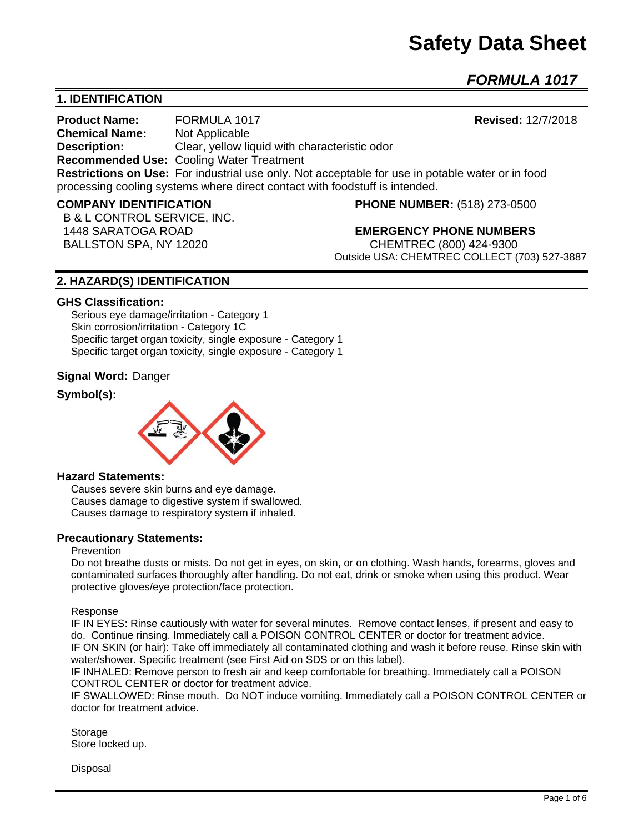# **Safety Data Sheet**

*FORMULA 1017*

# **1. IDENTIFICATION**

**Product Name:** FORMULA 1017 **Revised:** 12/7/2018 **Chemical Name:** Not Applicable **Description:** Clear, yellow liquid with characteristic odor **Recommended Use:** Cooling Water Treatment **Restrictions on Use:** For industrial use only. Not acceptable for use in potable water or in food processing cooling systems where direct contact with foodstuff is intended.

B & L CONTROL SERVICE, INC.

**COMPANY IDENTIFICATION PHONE NUMBER:** (518) 273-0500

 1448 SARATOGA ROAD **EMERGENCY PHONE NUMBERS** BALLSTON SPA, NY 12020 CHEMTREC (800) 424-9300 Outside USA: CHEMTREC COLLECT (703) 527-3887

# **2. HAZARD(S) IDENTIFICATION**

#### **GHS Classification:**

Serious eye damage/irritation - Category 1 Skin corrosion/irritation - Category 1C Specific target organ toxicity, single exposure - Category 1 Specific target organ toxicity, single exposure - Category 1

#### **Signal Word:** Danger

### **Symbol(s):**



#### **Hazard Statements:**

Causes severe skin burns and eye damage. Causes damage to digestive system if swallowed. Causes damage to respiratory system if inhaled.

### **Precautionary Statements:**

#### Prevention

Do not breathe dusts or mists. Do not get in eyes, on skin, or on clothing. Wash hands, forearms, gloves and contaminated surfaces thoroughly after handling. Do not eat, drink or smoke when using this product. Wear protective gloves/eye protection/face protection.

#### Response

IF IN EYES: Rinse cautiously with water for several minutes. Remove contact lenses, if present and easy to do. Continue rinsing. Immediately call a POISON CONTROL CENTER or doctor for treatment advice. IF ON SKIN (or hair): Take off immediately all contaminated clothing and wash it before reuse. Rinse skin with water/shower. Specific treatment (see First Aid on SDS or on this label).

IF INHALED: Remove person to fresh air and keep comfortable for breathing. Immediately call a POISON CONTROL CENTER or doctor for treatment advice.

IF SWALLOWED: Rinse mouth. Do NOT induce vomiting. Immediately call a POISON CONTROL CENTER or doctor for treatment advice.

Storage Store locked up.

Disposal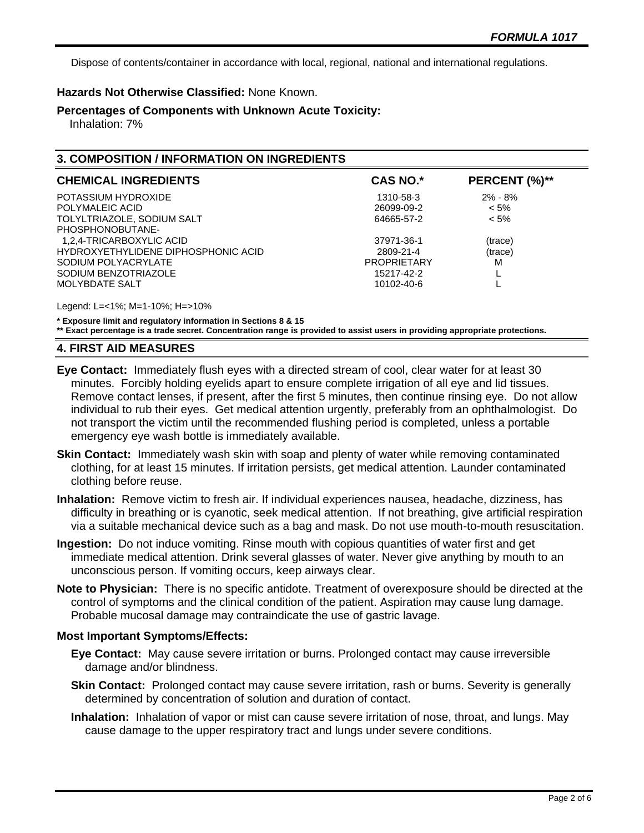Dispose of contents/container in accordance with local, regional, national and international regulations.

# **Hazards Not Otherwise Classified:** None Known.

**Percentages of Components with Unknown Acute Toxicity:** 

Inhalation: 7%

# **3. COMPOSITION / INFORMATION ON INGREDIENTS**

| <b>CHEMICAL INGREDIENTS</b>         | <b>CAS NO.*</b>    | PERCENT (%)** |
|-------------------------------------|--------------------|---------------|
| POTASSIUM HYDROXIDE                 | 1310-58-3          | $2\% - 8\%$   |
| POLYMALEIC ACID                     | 26099-09-2         | $< 5\%$       |
| TOLYLTRIAZOLE, SODIUM SALT          | 64665-57-2         | $< 5\%$       |
| PHOSPHONOBUTANE-                    |                    |               |
| 1,2,4-TRICARBOXYLIC ACID            | 37971-36-1         | (trace)       |
| HYDROXYETHYLIDENE DIPHOSPHONIC ACID | 2809-21-4          | (trace)       |
| SODIUM POLYACRYLATE                 | <b>PROPRIETARY</b> | м             |
| SODIUM BENZOTRIAZOLE                | 15217-42-2         |               |
| MOLYBDATE SALT                      | 10102-40-6         |               |

Legend: L=<1%; M=1-10%; H=>10%

**\* Exposure limit and regulatory information in Sections 8 & 15**

**\*\* Exact percentage is a trade secret. Concentration range is provided to assist users in providing appropriate protections.**

#### **4. FIRST AID MEASURES**

- **Eye Contact:** Immediately flush eyes with a directed stream of cool, clear water for at least 30 minutes. Forcibly holding eyelids apart to ensure complete irrigation of all eye and lid tissues. Remove contact lenses, if present, after the first 5 minutes, then continue rinsing eye. Do not allow individual to rub their eyes. Get medical attention urgently, preferably from an ophthalmologist. Do not transport the victim until the recommended flushing period is completed, unless a portable emergency eye wash bottle is immediately available.
- **Skin Contact:** Immediately wash skin with soap and plenty of water while removing contaminated clothing, for at least 15 minutes. If irritation persists, get medical attention. Launder contaminated clothing before reuse.
- **Inhalation:** Remove victim to fresh air. If individual experiences nausea, headache, dizziness, has difficulty in breathing or is cyanotic, seek medical attention. If not breathing, give artificial respiration via a suitable mechanical device such as a bag and mask. Do not use mouth-to-mouth resuscitation.
- **Ingestion:** Do not induce vomiting. Rinse mouth with copious quantities of water first and get immediate medical attention. Drink several glasses of water. Never give anything by mouth to an unconscious person. If vomiting occurs, keep airways clear.
- **Note to Physician:** There is no specific antidote. Treatment of overexposure should be directed at the control of symptoms and the clinical condition of the patient. Aspiration may cause lung damage. Probable mucosal damage may contraindicate the use of gastric lavage.

#### **Most Important Symptoms/Effects:**

- **Eye Contact:** May cause severe irritation or burns. Prolonged contact may cause irreversible damage and/or blindness.
- **Skin Contact:** Prolonged contact may cause severe irritation, rash or burns. Severity is generally determined by concentration of solution and duration of contact.
- **Inhalation:** Inhalation of vapor or mist can cause severe irritation of nose, throat, and lungs. May cause damage to the upper respiratory tract and lungs under severe conditions.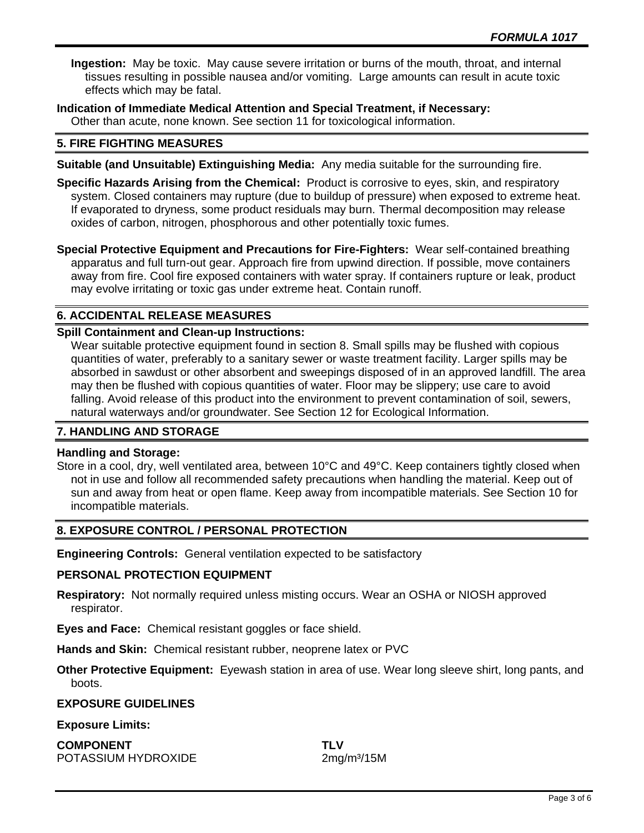**Ingestion:** May be toxic. May cause severe irritation or burns of the mouth, throat, and internal tissues resulting in possible nausea and/or vomiting. Large amounts can result in acute toxic effects which may be fatal.

**Indication of Immediate Medical Attention and Special Treatment, if Necessary:** Other than acute, none known. See section 11 for toxicological information.

# **5. FIRE FIGHTING MEASURES**

- **Suitable (and Unsuitable) Extinguishing Media:** Any media suitable for the surrounding fire.
- **Specific Hazards Arising from the Chemical:** Product is corrosive to eyes, skin, and respiratory system. Closed containers may rupture (due to buildup of pressure) when exposed to extreme heat. If evaporated to dryness, some product residuals may burn. Thermal decomposition may release oxides of carbon, nitrogen, phosphorous and other potentially toxic fumes.

**Special Protective Equipment and Precautions for Fire-Fighters:** Wear self-contained breathing apparatus and full turn-out gear. Approach fire from upwind direction. If possible, move containers away from fire. Cool fire exposed containers with water spray. If containers rupture or leak, product may evolve irritating or toxic gas under extreme heat. Contain runoff.

# **6. ACCIDENTAL RELEASE MEASURES**

# **Spill Containment and Clean-up Instructions:**

Wear suitable protective equipment found in section 8. Small spills may be flushed with copious quantities of water, preferably to a sanitary sewer or waste treatment facility. Larger spills may be absorbed in sawdust or other absorbent and sweepings disposed of in an approved landfill. The area may then be flushed with copious quantities of water. Floor may be slippery; use care to avoid falling. Avoid release of this product into the environment to prevent contamination of soil, sewers, natural waterways and/or groundwater. See Section 12 for Ecological Information.

# **7. HANDLING AND STORAGE**

### **Handling and Storage:**

Store in a cool, dry, well ventilated area, between 10°C and 49°C. Keep containers tightly closed when not in use and follow all recommended safety precautions when handling the material. Keep out of sun and away from heat or open flame. Keep away from incompatible materials. See Section 10 for incompatible materials.

### **8. EXPOSURE CONTROL / PERSONAL PROTECTION**

**Engineering Controls:** General ventilation expected to be satisfactory

### **PERSONAL PROTECTION EQUIPMENT**

**Respiratory:** Not normally required unless misting occurs. Wear an OSHA or NIOSH approved respirator.

**Eyes and Face:** Chemical resistant goggles or face shield.

**Hands and Skin:** Chemical resistant rubber, neoprene latex or PVC

**Other Protective Equipment:** Eyewash station in area of use. Wear long sleeve shirt, long pants, and boots.

#### **EXPOSURE GUIDELINES**

### **Exposure Limits:**

**COMPONENT TLV** POTASSIUM HYDROXIDE 2mg/m<sup>3</sup>/15M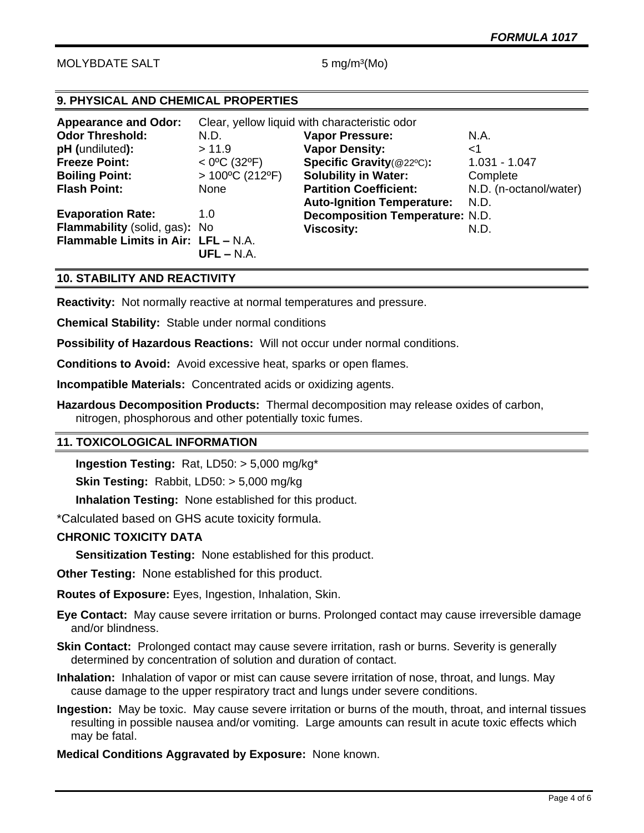# MOLYBDATE SALT 5 mg/m<sup>3</sup>(Mo)

# **9. PHYSICAL AND CHEMICAL PROPERTIES**

| <b>Appearance and Odor:</b>         | Clear, yellow liquid with characteristic odor |                                        |                        |
|-------------------------------------|-----------------------------------------------|----------------------------------------|------------------------|
| <b>Odor Threshold:</b>              | N.D.                                          | <b>Vapor Pressure:</b>                 | N.A.                   |
| pH (undiluted):                     | >11.9                                         | <b>Vapor Density:</b>                  | 1>                     |
| <b>Freeze Point:</b>                | $<$ 0°C (32°F)                                | Specific Gravity(@22°C):               | $1.031 - 1.047$        |
| <b>Boiling Point:</b>               | $>100^{\circ}$ C (212°F)                      | <b>Solubility in Water:</b>            | Complete               |
| <b>Flash Point:</b>                 | None                                          | <b>Partition Coefficient:</b>          | N.D. (n-octanol/water) |
|                                     |                                               | <b>Auto-Ignition Temperature:</b>      | N.D.                   |
| <b>Evaporation Rate:</b>            | 1.0                                           | <b>Decomposition Temperature: N.D.</b> |                        |
| Flammability (solid, gas): No       |                                               | <b>Viscosity:</b>                      | N.D.                   |
| Flammable Limits in Air: LFL - N.A. | $UFL - N.A.$                                  |                                        |                        |

### **10. STABILITY AND REACTIVITY**

**Reactivity:** Not normally reactive at normal temperatures and pressure.

**Chemical Stability:** Stable under normal conditions

**Possibility of Hazardous Reactions:** Will not occur under normal conditions.

**Conditions to Avoid:** Avoid excessive heat, sparks or open flames.

**Incompatible Materials:** Concentrated acids or oxidizing agents.

**Hazardous Decomposition Products:** Thermal decomposition may release oxides of carbon, nitrogen, phosphorous and other potentially toxic fumes.

#### **11. TOXICOLOGICAL INFORMATION**

**Ingestion Testing:** Rat, LD50: > 5,000 mg/kg\*

**Skin Testing:** Rabbit, LD50: > 5,000 mg/kg

**Inhalation Testing:** None established for this product.

\*Calculated based on GHS acute toxicity formula.

#### **CHRONIC TOXICITY DATA**

**Sensitization Testing:** None established for this product.

**Other Testing:** None established for this product.

**Routes of Exposure:** Eyes, Ingestion, Inhalation, Skin.

**Eye Contact:** May cause severe irritation or burns. Prolonged contact may cause irreversible damage and/or blindness.

**Skin Contact:** Prolonged contact may cause severe irritation, rash or burns. Severity is generally determined by concentration of solution and duration of contact.

**Inhalation:** Inhalation of vapor or mist can cause severe irritation of nose, throat, and lungs. May cause damage to the upper respiratory tract and lungs under severe conditions.

**Ingestion:** May be toxic. May cause severe irritation or burns of the mouth, throat, and internal tissues resulting in possible nausea and/or vomiting. Large amounts can result in acute toxic effects which may be fatal.

**Medical Conditions Aggravated by Exposure:** None known.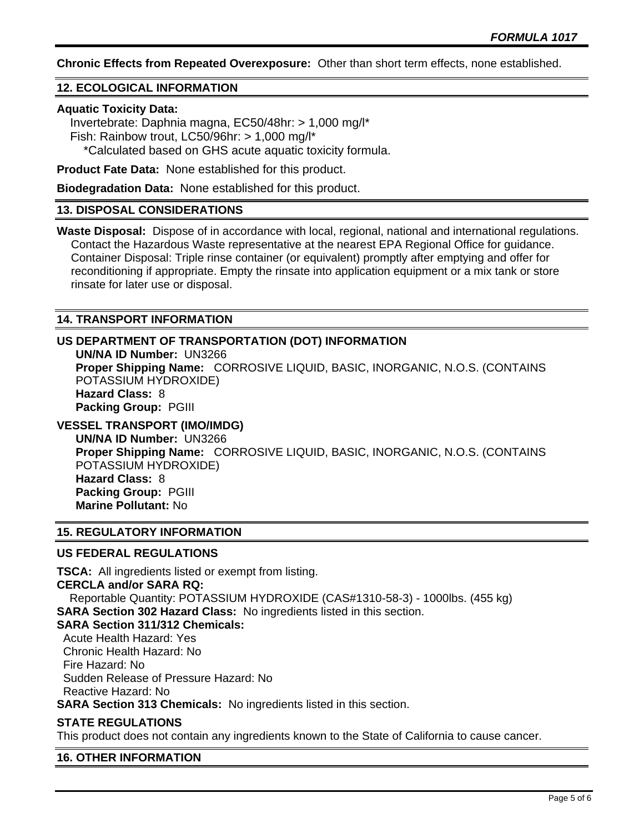**Chronic Effects from Repeated Overexposure:** Other than short term effects, none established.

#### **12. ECOLOGICAL INFORMATION**

#### **Aquatic Toxicity Data:**

 Invertebrate: Daphnia magna, EC50/48hr: > 1,000 mg/l\* Fish: Rainbow trout, LC50/96hr: > 1,000 mg/l\* \*Calculated based on GHS acute aquatic toxicity formula.

**Product Fate Data:** None established for this product.

**Biodegradation Data:** None established for this product.

# **13. DISPOSAL CONSIDERATIONS**

**Waste Disposal:** Dispose of in accordance with local, regional, national and international regulations. Contact the Hazardous Waste representative at the nearest EPA Regional Office for guidance. Container Disposal: Triple rinse container (or equivalent) promptly after emptying and offer for reconditioning if appropriate. Empty the rinsate into application equipment or a mix tank or store rinsate for later use or disposal.

#### **14. TRANSPORT INFORMATION**

# **US DEPARTMENT OF TRANSPORTATION (DOT) INFORMATION**

**UN/NA ID Number:** UN3266 **Proper Shipping Name:** CORROSIVE LIQUID, BASIC, INORGANIC, N.O.S. (CONTAINS POTASSIUM HYDROXIDE) **Hazard Class:** 8 **Packing Group:** PGIII

# **VESSEL TRANSPORT (IMO/IMDG)**

**UN/NA ID Number:** UN3266 **Proper Shipping Name:** CORROSIVE LIQUID, BASIC, INORGANIC, N.O.S. (CONTAINS POTASSIUM HYDROXIDE) **Hazard Class:** 8 **Packing Group:** PGIII **Marine Pollutant:** No

# **15. REGULATORY INFORMATION**

#### **US FEDERAL REGULATIONS**

**TSCA:** All ingredients listed or exempt from listing. **CERCLA and/or SARA RQ:**  Reportable Quantity: POTASSIUM HYDROXIDE (CAS#1310-58-3) - 1000lbs. (455 kg) **SARA Section 302 Hazard Class:** No ingredients listed in this section. **SARA Section 311/312 Chemicals:**  Acute Health Hazard: Yes Chronic Health Hazard: No Fire Hazard: No Sudden Release of Pressure Hazard: No Reactive Hazard: No **SARA Section 313 Chemicals:** No ingredients listed in this section.

### **STATE REGULATIONS**

This product does not contain any ingredients known to the State of California to cause cancer.

#### **16. OTHER INFORMATION**